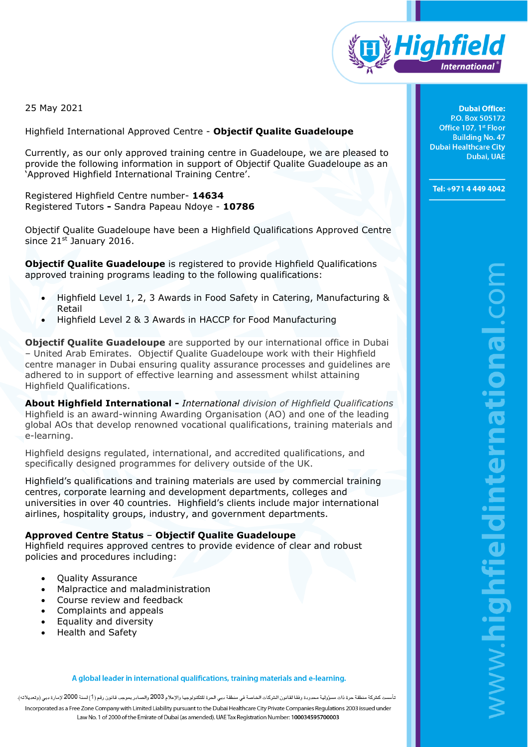

25 May 2021

Highfield International Approved Centre - **Objectif Qualite Guadeloupe** 

Currently, as our only approved training centre in Guadeloupe, we are pleased to provide the following information in support of Objectif Qualite Guadeloupe as an 'Approved Highfield International Training Centre'.

Registered Highfield Centre number- **14634** Registered Tutors **-** Sandra Papeau Ndoye - **10786**

Objectif Qualite Guadeloupe have been a Highfield Qualifications Approved Centre since  $21^{st}$  January 2016.

**Objectif Qualite Guadeloupe** is registered to provide Highfield Qualifications approved training programs leading to the following qualifications:

- Highfield Level 1, 2, 3 Awards in Food Safety in Catering, Manufacturing & Retail
- Highfield Level 2 & 3 Awards in HACCP for Food Manufacturing

**Objectif Qualite Guadeloupe** are supported by our international office in Dubai – United Arab Emirates. Objectif Qualite Guadeloupe work with their Highfield centre manager in Dubai ensuring quality assurance processes and guidelines are adhered to in support of effective learning and assessment whilst attaining Highfield Qualifications.

**About Highfield International -** *International division of Highfield Qualifications*  Highfield is an award-winning Awarding Organisation (AO) and one of the leading global AOs that develop renowned vocational qualifications, training materials and e-learning.

Highfield designs regulated, international, and accredited qualifications, and specifically designed programmes for delivery outside of the UK.

Highfield's qualifications and training materials are used by commercial training centres, corporate learning and development departments, colleges and universities in over 40 countries. Highfield's clients include major international airlines, hospitality groups, industry, and government departments.

## **Approved Centre Status** – **Objectif Qualite Guadeloupe**

Highfield requires approved centres to provide evidence of clear and robust policies and procedures including:

- Quality Assurance
- Malpractice and maladministration
- Course review and feedback
- Complaints and appeals
- Equality and diversity
- Health and Safety

A global leader in international qualifications, training materials and e-learning.

ت كشركة منطقة حرة ذات مسؤرلية محدودة وفقا لقانون الشركات الخاصة في منطقة دبى الحرة للتكنولوجيا والإعلام 2003 والصادر بموجب قانون رقم (1) لسنة 2000 لإمارة دبى (وتعديلاته). Incorporated as a Free Zone Company with Limited Liability pursuant to the Dubai Healthcare City Private Companies Regulations 2003 issued under Law No. 1 of 2000 of the Emirate of Dubai (as amended). UAE Tax Registration Number: 100034595700003

**Dubai Office:** P.O. Box 505172 Office 107, 1st Floor **Building No. 47 Dubai Healthcare City** Dubai, UAE

Tel: +971 4 449 4042